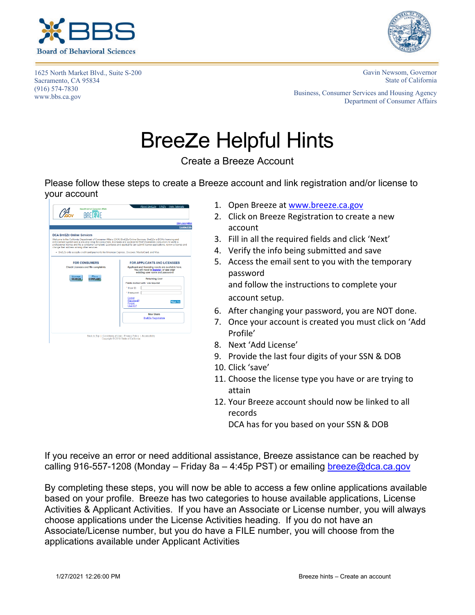

1625 North Market Blvd., Suite S-200 Sacramento, CA 95834 (916) 574-7830 www.bbs.ca.gov



Gavin Newsom, Governor State of California

Business, Consumer Services and Housing Agency Department of Consumer Affairs

## Breeze Helpful Hints

Create a Breeze Account

Please follow these steps to create a Breeze account and link registration and/or license to your account

|                                                                                                                                                                                                                                                                                                                                                                                                                                     | Skip navigation                                                                                                                                                                                                                                                                                                            |
|-------------------------------------------------------------------------------------------------------------------------------------------------------------------------------------------------------------------------------------------------------------------------------------------------------------------------------------------------------------------------------------------------------------------------------------|----------------------------------------------------------------------------------------------------------------------------------------------------------------------------------------------------------------------------------------------------------------------------------------------------------------------------|
|                                                                                                                                                                                                                                                                                                                                                                                                                                     | <b>Contact Us</b>                                                                                                                                                                                                                                                                                                          |
| <b>DCA BreEZe Online Services</b><br>Welcome to the California Department of Consumer Affairs (DCA) BreEZe Online Services. BreEZe is DCA's licensing and<br>enforcement system and a one-stop shop for consumers, licensees and applicants! BreEZe enables consumers to verify a<br>change their address among other services.<br>- BreEZe only accepts credit card payments for American Express. Discover, MasterCard, and Visa. | professional license and file a consumer complaint. Licensees and applicants can submit license applications, renew a license and                                                                                                                                                                                          |
| <b>FOR CONSUMERS</b><br>Check Licenses and file complaints.<br>License<br>File a<br><b>COMPLAINT</b><br><b>SEARCH</b>                                                                                                                                                                                                                                                                                                               | FOR APPLICANTS AND LICENSEES<br>Applicant and licensing needs are available here.<br>You will need to register, or use your<br>existing user name and password<br><b>Returning User</b><br>Fields marked with ' are required<br>* Hiser ID:<br>* Password:<br>Forgot<br>Password?<br><b>Sign In</b><br>Forgot<br>Liser ID2 |
|                                                                                                                                                                                                                                                                                                                                                                                                                                     | New Users<br><b>BreEZe Registration</b>                                                                                                                                                                                                                                                                                    |

- 1. Open Breeze at [www.breeze.ca.gov](http://www.breeze.ca.gov/)
- 2. Click on Breeze Registration to create a new account
- 3. Fill in all the required fields and click 'Next'
- 4. Verify the info being submitted and save
- 5. Access the email sent to you with the temporary password and follow the instructions to complete your account setup.
- 6. After changing your password, you are NOT done.
- 7. Once your account is created you must click on 'Add Profile'
- 8. Next 'Add License'
- 9. Provide the last four digits of your SSN & DOB
- 10. Click 'save'
- 11. Choose the license type you have or are trying to attain
- 12. Your Breeze account should now be linked to all records

DCA has for you based on your SSN & DOB

If you receive an error or need additional assistance, Breeze assistance can be reached by calling 916-557-1208 (Monday – Friday 8a – 4:45p PST) or emailing [breeze@dca.ca.gov](mailto:breeze@dca.ca.gov)

By completing these steps, you will now be able to access a few online applications available based on your profile. Breeze has two categories to house available applications, License Activities & Applicant Activities. If you have an Associate or License number, you will always choose applications under the License Activities heading. If you do not have an Associate/License number, but you do have a FILE number, you will choose from the applications available under Applicant Activities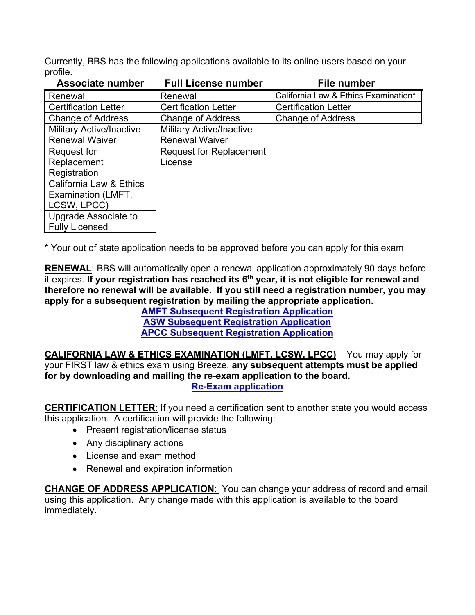Currently, BBS has the following applications available to its online users based on your profile.

| <b>Associate number</b>         | <b>Full License number</b>      | <b>File number</b>                   |
|---------------------------------|---------------------------------|--------------------------------------|
| Renewal                         | Renewal                         | California Law & Ethics Examination* |
| <b>Certification Letter</b>     | <b>Certification Letter</b>     | <b>Certification Letter</b>          |
| <b>Change of Address</b>        | <b>Change of Address</b>        | <b>Change of Address</b>             |
| <b>Military Active/Inactive</b> | <b>Military Active/Inactive</b> |                                      |
| <b>Renewal Waiver</b>           | <b>Renewal Waiver</b>           |                                      |
| Request for                     | <b>Request for Replacement</b>  |                                      |
| Replacement                     | License                         |                                      |
| Registration                    |                                 |                                      |
| California Law & Ethics         |                                 |                                      |
| Examination (LMFT,              |                                 |                                      |
| LCSW, LPCC)                     |                                 |                                      |
| Upgrade Associate to            |                                 |                                      |
| <b>Fully Licensed</b>           |                                 |                                      |

\* Your out of state application needs to be approved before you can apply for this exam

**RENEWAL**: BBS will automatically open a renewal application approximately 90 days before it expires. **If your registration has reached its 6th year, it is not eligible for renewal and therefore no renewal will be available. If you still need a registration number, you may apply for a subsequent registration by mailing the appropriate application.**

**[AMFT Subsequent Registration Application](https://bbs.ca.gov/pdf/forms/mft/imfapp_2reg.pdf) [ASW Subsequent Registration Application](https://bbs.ca.gov/pdf/forms/lcs/aswapp_2reg.pdf) [APCC Subsequent Registration Application](https://bbs.ca.gov/pdf/forms/lpc/pciapp_2reg.pdf)**

**CALIFORNIA LAW & ETHICS EXAMINATION (LMFT, LCSW, LPCC)** – You may apply for your FIRST law & ethics exam using Breeze, **any subsequent attempts must be applied for by downloading and mailing the re-exam application to the board. [Re-Exam application](https://bbs.ca.gov/pdf/forms/re-exam_app_37a-298.pdf)**

**CERTIFICATION LETTER**: If you need a certification sent to another state you would access this application. A certification will provide the following:

- Present registration/license status
- Any disciplinary actions
- License and exam method
- Renewal and expiration information

**CHANGE OF ADDRESS APPLICATION**: You can change your address of record and email using this application. Any change made with this application is available to the board immediately.